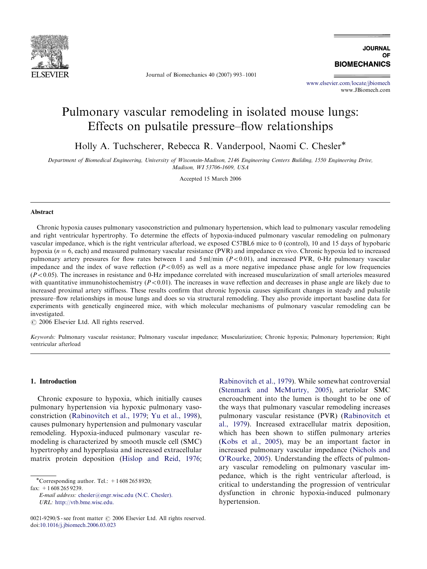

Journal of Biomechanics 40 (2007) 993–1001

**JOURNAL** OF **BIOMECHANICS** 

<www.elsevier.com/locate/jbiomech> www.JBiomech.com

# Pulmonary vascular remodeling in isolated mouse lungs: Effects on pulsatile pressure–flow relationships

Holly A. Tuchscherer, Rebecca R. Vanderpool, Naomi C. Chesler\*

Department of Biomedical Engineering, University of Wisconsin-Madison, 2146 Engineering Centers Building, 1550 Engineering Drive, Madison, WI 53706-1609, USA

Accepted 15 March 2006

## Abstract

Chronic hypoxia causes pulmonary vasoconstriction and pulmonary hypertension, which lead to pulmonary vascular remodeling and right ventricular hypertrophy. To determine the effects of hypoxia-induced pulmonary vascular remodeling on pulmonary vascular impedance, which is the right ventricular afterload, we exposed C57BL6 mice to 0 (control), 10 and 15 days of hypobaric hypoxia ( $n = 6$ , each) and measured pulmonary vascular resistance (PVR) and impedance ex vivo. Chronic hypoxia led to increased pulmonary artery pressures for flow rates between 1 and 5 ml/min  $(P<0.01)$ , and increased PVR, 0-Hz pulmonary vascular impedance and the index of wave reflection  $(P<0.05)$  as well as a more negative impedance phase angle for low frequencies  $(P<0.05)$ . The increases in resistance and 0-Hz impedance correlated with increased muscularization of small arterioles measured with quantitative immunohistochemistry  $(P<0.01)$ . The increases in wave reflection and decreases in phase angle are likely due to increased proximal artery stiffness. These results confirm that chronic hypoxia causes significant changes in steady and pulsatile pressure–flow relationships in mouse lungs and does so via structural remodeling. They also provide important baseline data for experiments with genetically engineered mice, with which molecular mechanisms of pulmonary vascular remodeling can be investigated.

 $\odot$  2006 Elsevier Ltd. All rights reserved.

Keywords: Pulmonary vascular resistance; Pulmonary vascular impedance; Muscularization; Chronic hypoxia; Pulmonary hypertension; Right ventricular afterload

# 1. Introduction

Chronic exposure to hypoxia, which initially causes pulmonary hypertension via hypoxic pulmonary vasoconstriction ([Rabinovitch et al., 1979](#page-7-0); [Yu et al., 1998\)](#page-8-0), causes pulmonary hypertension and pulmonary vascular remodeling. Hypoxia-induced pulmonary vascular remodeling is characterized by smooth muscle cell (SMC) hypertrophy and hyperplasia and increased extracellular matrix protein deposition [\(Hislop and Reid, 1976;](#page-7-0)

E-mail address: [chesler@engr.wisc.edu \(N.C. Chesler\).](mailto:chesler@engr.wisc.edu) URL: [http://vtb.bme.wisc.edu.](mailto:http://vtb.bme.wisc.edu)

[Rabinovitch et al., 1979](#page-7-0)). While somewhat controversial ([Stenmark and McMurtry, 2005](#page-7-0)), arteriolar SMC encroachment into the lumen is thought to be one of the ways that pulmonary vascular remodeling increases pulmonary vascular resistance (PVR) [\(Rabinovitch et](#page-7-0) [al., 1979\)](#page-7-0). Increased extracellular matrix deposition, which has been shown to stiffen pulmonary arteries ([Kobs et al., 2005\)](#page-7-0), may be an important factor in increased pulmonary vascular impedance ([Nichols and](#page-7-0) [O'Rourke, 2005](#page-7-0)). Understanding the effects of pulmonary vascular remodeling on pulmonary vascular impedance, which is the right ventricular afterload, is critical to understanding the progression of ventricular dysfunction in chronic hypoxia-induced pulmonary hypertension.

<sup>-</sup>Corresponding author. Tel.: +1 608 265 8920; fax:  $+16082659239$ .

 $0021-9290$ /\$ - see front matter  $\odot$  2006 Elsevier Ltd. All rights reserved. doi:[10.1016/j.jbiomech.2006.03.023](dx.doi.org/10.1016/j.jbiomech.2006.03.023)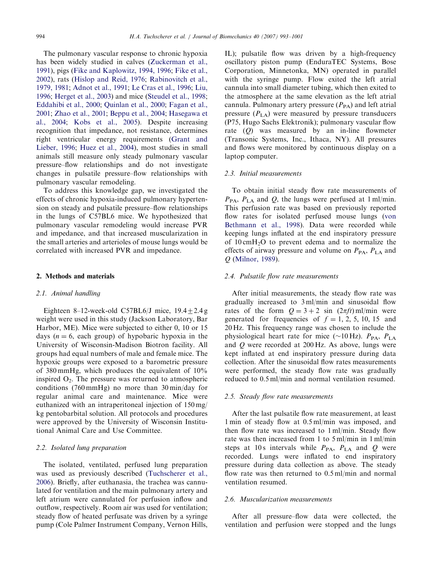The pulmonary vascular response to chronic hypoxia has been widely studied in calves ([Zuckerman et al.,](#page-8-0) [1991\)](#page-8-0), pigs ([Fike and Kaplowitz, 1994, 1996;](#page-7-0) [Fike et al.,](#page-7-0) [2002\)](#page-7-0), rats [\(Hislop and Reid, 1976](#page-7-0); [Rabinovitch et al.,](#page-7-0) [1979, 1981](#page-7-0); [Adnot et al., 1991](#page-7-0); [Le Cras et al., 1996;](#page-7-0) [Liu,](#page-7-0) [1996;](#page-7-0) [Herget et al., 2003\)](#page-7-0) and mice [\(Steudel et al., 1998](#page-7-0); [Eddahibi et al., 2000;](#page-7-0) [Quinlan et al., 2000;](#page-7-0) [Fagan et al.,](#page-7-0) [2001;](#page-7-0) [Zhao et al., 2001;](#page-8-0) [Beppu et al., 2004](#page-7-0); [Hasegawa et](#page-7-0) [al., 2004](#page-7-0); [Kobs et al., 2005\)](#page-7-0). Despite increasing recognition that impedance, not resistance, determines right ventricular energy requirements [\(Grant and](#page-7-0) [Lieber, 1996;](#page-7-0) [Huez et al., 2004\)](#page-7-0), most studies in small animals still measure only steady pulmonary vascular pressure–flow relationships and do not investigate changes in pulsatile pressure–flow relationships with pulmonary vascular remodeling.

To address this knowledge gap, we investigated the effects of chronic hypoxia-induced pulmonary hypertension on steady and pulsatile pressure–flow relationships in the lungs of C57BL6 mice. We hypothesized that pulmonary vascular remodeling would increase PVR and impedance, and that increased muscularization in the small arteries and arterioles of mouse lungs would be correlated with increased PVR and impedance.

#### 2. Methods and materials

## 2.1. Animal handling

Eighteen 8–12-week-old C57BL6/J mice,  $19.4 \pm 2.4$  g weight were used in this study (Jackson Laboratory, Bar Harbor, ME). Mice were subjected to either 0, 10 or 15 days ( $n = 6$ , each group) of hypobaric hypoxia in the University of Wisconsin-Madison Biotron facility. All groups had equal numbers of male and female mice. The hypoxic groups were exposed to a barometric pressure of 380 mmHg, which produces the equivalent of 10% inspired  $O_2$ . The pressure was returned to atmospheric conditions (760 mmHg) no more than 30 min/day for regular animal care and maintenance. Mice were euthanized with an intraperitoneal injection of 150 mg/ kg pentobarbital solution. All protocols and procedures were approved by the University of Wisconsin Institutional Animal Care and Use Committee.

# 2.2. Isolated lung preparation

The isolated, ventilated, perfused lung preparation was used as previously described ([Tuchscherer et al.,](#page-7-0) [2006\)](#page-7-0). Briefly, after euthanasia, the trachea was cannulated for ventilation and the main pulmonary artery and left atrium were cannulated for perfusion inflow and outflow, respectively. Room air was used for ventilation; steady flow of heated perfusate was driven by a syringe pump (Cole Palmer Instrument Company, Vernon Hills,

IL); pulsatile flow was driven by a high-frequency oscillatory piston pump (EnduraTEC Systems, Bose Corporation, Minnetonka, MN) operated in parallel with the syringe pump. Flow exited the left atrial cannula into small diameter tubing, which then exited to the atmosphere at the same elevation as the left atrial cannula. Pulmonary artery pressure  $(P_{PA})$  and left atrial pressure  $(P_{LA})$  were measured by pressure transducers (P75, Hugo Sachs Elektronik); pulmonary vascular flow rate  $(Q)$  was measured by an in-line flowmeter (Transonic Systems, Inc., Ithaca, NY). All pressures and flows were monitored by continuous display on a laptop computer.

# 2.3. Initial measurements

To obtain initial steady flow rate measurements of  $P_{\text{PA}}$ ,  $P_{\text{LA}}$  and Q, the lungs were perfused at 1 ml/min. This perfusion rate was based on previously reported flow rates for isolated perfused mouse lungs ([von](#page-8-0) [Bethmann et al., 1998\)](#page-8-0). Data were recorded while keeping lungs inflated at the end inspiratory pressure of  $10 \text{ cm}H_2O$  to prevent edema and to normalize the effects of airway pressure and volume on  $P_{\text{PA}}$ ,  $P_{\text{LA}}$  and Q ([Milnor, 1989](#page-7-0)).

## 2.4. Pulsatile flow rate measurements

After initial measurements, the steady flow rate was gradually increased to 3 ml/min and sinusoidal flow rates of the form  $Q = 3 + 2 \sin (2\pi ft)$  ml/min were generated for frequencies of  $f = 1, 2, 5, 10, 15$  and 20 Hz. This frequency range was chosen to include the physiological heart rate for mice ( $\sim$ 10 Hz).  $P_{\text{PA}}$ ,  $P_{\text{LA}}$ and Q were recorded at 200 Hz. As above, lungs were kept inflated at end inspiratory pressure during data collection. After the sinusoidal flow rates measurements were performed, the steady flow rate was gradually reduced to 0.5 ml/min and normal ventilation resumed.

## 2.5. Steady flow rate measurements

After the last pulsatile flow rate measurement, at least 1 min of steady flow at 0.5 ml/min was imposed, and then flow rate was increased to 1 ml/min. Steady flow rate was then increased from 1 to 5 ml/min in 1 ml/min steps at 10s intervals while  $P_{PA}$ ,  $P_{LA}$  and Q were recorded. Lungs were inflated to end inspiratory pressure during data collection as above. The steady flow rate was then returned to 0.5 ml/min and normal ventilation resumed.

# 2.6. Muscularization measurements

After all pressure–flow data were collected, the ventilation and perfusion were stopped and the lungs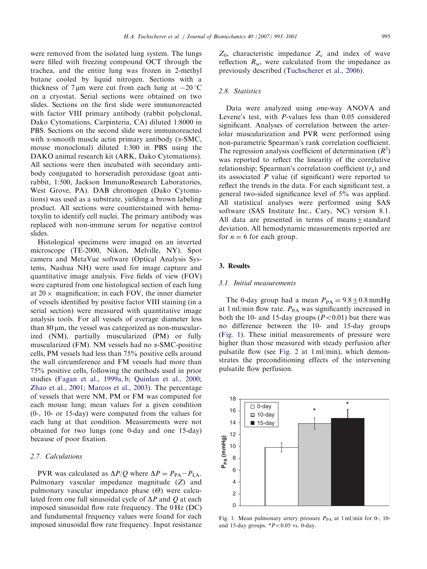were removed from the isolated lung system. The lungs were filled with freezing compound OCT through the trachea, and the entire lung was frozen in 2-methyl butane cooled by liquid nitrogen. Sections with a thickness of 7  $\mu$ m were cut from each lung at  $-20$  °C on a cryostat. Serial sections were obtained on two slides. Sections on the first slide were immunoreacted with factor VIII primary antibody (rabbit polyclonal, Dako Cytomations, Carpinteria, CA) diluted 1:8000 in PBS. Sections on the second slide were immunoreacted with  $\alpha$ -smooth muscle actin primary antibody ( $\alpha$ -SMC, mouse monoclonal) diluted 1:300 in PBS using the DAKO animal research kit (ARK, Dako Cytomations). All sections were then incubated with secondary antibody conjugated to horseradish peroxidase (goat antirabbit, 1:500, Jackson ImmunoResearch Laboratories, West Grove, PA). DAB chromogen (Dako Cytomations) was used as a substrate, yielding a brown labeling product. All sections were counterstained with hematoxylin to identify cell nuclei. The primary antibody was replaced with non-immune serum for negative control slides.

Histological specimens were imaged on an inverted microscope (TE-2000, Nikon, Melville, NY). Spot camera and MetaVue software (Optical Analysis Systems, Nashua NH) were used for image capture and quantitative image analysis. Five fields of view (FOV) were captured from one histological section of each lung at  $20 \times$  magnification; in each FOV, the inner diameter of vessels identified by positive factor VIII staining (in a serial section) were measured with quantitative image analysis tools. For all vessels of average diameter less than  $80 \mu m$ , the vessel was categorized as non-muscularized (NM), partially muscularized (PM) or fully muscularized (FM). NM vessels had no  $\alpha$ -SMC-positive cells, PM vessels had less than 75% positive cells around the wall circumference and FM vessels had more than 75% positive cells, following the methods used in prior studies [\(Fagan et al., 1999a, b](#page-7-0); [Quinlan et al., 2000;](#page-7-0) [Zhao et al., 2001](#page-8-0); [Marcos et al., 2003](#page-7-0)). The percentage of vessels that were NM, PM or FM was computed for each mouse lung; mean values for a given condition (0-, 10- or 15-day) were computed from the values for each lung at that condition. Measurements were not obtained for two lungs (one 0-day and one 15-day) because of poor fixation.

## 2.7. Calculations

PVR was calculated as  $\Delta P/Q$  where  $\Delta P = P_{PA} - P_{LA}$ . Pulmonary vascular impedance magnitude (Z) and pulmonary vascular impedance phase  $(\Theta)$  were calculated from one full sinusoidal cycle of  $\Delta P$  and Q at each imposed sinusoidal flow rate frequency. The 0 Hz (DC) and fundamental frequency values were found for each imposed sinusoidal flow rate frequency. Input resistance  $Z_0$ , characteristic impedance  $Z_c$  and index of wave reflection  $R_w$ , were calculated from the impedance as previously described ([Tuchscherer et al., 2006](#page-7-0)).

# 2.8. Statistics

Data were analyzed using one-way ANOVA and Levene's test, with P-values less than 0.05 considered significant. Analyses of correlation between the arteriolar muscularization and PVR were performed using non-parametric Spearman's rank correlation coefficient. The regression analysis coefficient of determination  $(R^2)$ was reported to reflect the linearity of the correlative relationship; Spearman's correlation coefficient  $(r<sub>s</sub>)$  and its associated  $P$  value (if significant) were reported to reflect the trends in the data. For each significant test, a general two-sided significance level of 5% was applied. All statistical analyses were performed using SAS software (SAS Institute Inc., Cary, NC) version 8.1. All data are presented in terms of means $+$ standard deviation. All hemodynamic measurements reported are for  $n = 6$  for each group.

# 3. Results

#### 3.1. Initial measurements

The 0-day group had a mean  $P_{\text{PA}} = 9.8 \pm 0.8 \text{ mmHg}$ at 1 ml/min flow rate.  $P_{PA}$  was significantly increased in both the 10- and 15-day groups  $(P<0.01)$  but there was no difference between the 10- and 15-day groups (Fig. 1). These initial measurements of pressure were higher than those measured with steady perfusion after pulsatile flow (see [Fig. 2](#page-3-0) at 1 ml/min), which demonstrates the preconditioning effects of the intervening pulsatile flow perfusion.



Fig. 1. Mean pulmonary artery pressure  $P_{PA}$  at 1 ml/min for 0-, 10and 15-day groups.  $*P<0.05$  vs. 0-day.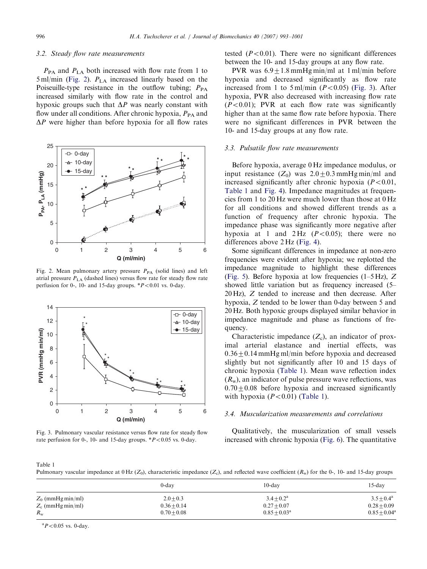## <span id="page-3-0"></span>3.2. Steady flow rate measurements

 $P_{\text{PA}}$  and  $P_{\text{LA}}$  both increased with flow rate from 1 to  $5$  ml/min (Fig. 2).  $P_{LA}$  increased linearly based on the Poiseuille-type resistance in the outflow tubing;  $P_{PA}$ increased similarly with flow rate in the control and hypoxic groups such that  $\Delta P$  was nearly constant with flow under all conditions. After chronic hypoxia,  $P_{PA}$  and  $\Delta P$  were higher than before hypoxia for all flow rates



Fig. 2. Mean pulmonary artery pressure  $P_{PA}$  (solid lines) and left atrial pressure  $P_{LA}$  (dashed lines) versus flow rate for steady flow rate perfusion for 0-, 10- and 15-day groups.  $*P<0.01$  vs. 0-day.



Fig. 3. Pulmonary vascular resistance versus flow rate for steady flow rate perfusion for 0-, 10- and 15-day groups.  $*P<0.05$  vs. 0-day.

tested  $(P<0.01)$ . There were no significant differences between the 10- and 15-day groups at any flow rate.

PVR was  $6.9 \pm 1.8$  mmHg min/ml at 1 ml/min before hypoxia and decreased significantly as flow rate increased from 1 to 5 ml/min  $(P<0.05)$  (Fig. 3). After hypoxia, PVR also decreased with increasing flow rate  $(P<0.01)$ ; PVR at each flow rate was significantly higher than at the same flow rate before hypoxia. There were no significant differences in PVR between the 10- and 15-day groups at any flow rate.

## 3.3. Pulsatile flow rate measurements

Before hypoxia, average 0 Hz impedance modulus, or input resistance  $(Z_0)$  was  $2.0 \pm 0.3$  mmHg min/ml and increased significantly after chronic hypoxia  $(P<0.01$ , Table 1 and [Fig. 4\)](#page-4-0). Impedance magnitudes at frequencies from 1 to 20 Hz were much lower than those at 0 Hz for all conditions and showed different trends as a function of frequency after chronic hypoxia. The impedance phase was significantly more negative after hypoxia at 1 and  $2 \text{ Hz}$  ( $P < 0.05$ ); there were no differences above 2 Hz [\(Fig. 4](#page-4-0)).

Some significant differences in impedance at non-zero frequencies were evident after hypoxia; we replotted the impedance magnitude to highlight these differences ([Fig. 5](#page-4-0)). Before hypoxia at low frequencies  $(1-5 Hz)$ , Z showed little variation but as frequency increased (5– 20 Hz), Z tended to increase and then decrease. After hypoxia, Z tended to be lower than 0-day between 5 and 20 Hz. Both hypoxic groups displayed similar behavior in impedance magnitude and phase as functions of frequency.

Characteristic impedance  $(Z_c)$ , an indicator of proximal arterial elastance and inertial effects, was  $0.36\pm0.14$  mmHg ml/min before hypoxia and decreased slightly but not significantly after 10 and 15 days of chronic hypoxia (Table 1). Mean wave reflection index  $(R_w)$ , an indicator of pulse pressure wave reflections, was  $0.70 \pm 0.08$  before hypoxia and increased significantly with hypoxia  $(P<0.01)$  (Table 1).

## 3.4. Muscularization measurements and correlations

Qualitatively, the muscularization of small vessels increased with chronic hypoxia [\(Fig. 6\)](#page-4-0). The quantitative

Table 1

Pulmonary vascular impedance at 0 Hz  $(Z_0)$ , characteristic impedance  $(Z_c)$ , and reflected wave coefficient  $(R_w)$  for the 0-, 10- and 15-day groups

|                                            | 0-day                            | $10$ -day                        | $15$ -day                      |
|--------------------------------------------|----------------------------------|----------------------------------|--------------------------------|
| $Z_0$ (mmHg min/ml)<br>$Z_c$ (mmHg min/ml) | $2.0 \pm 0.3$<br>$0.36 \pm 0.14$ | $3.4 + 0.2^a$<br>$0.27 \pm 0.07$ | $3.5 + 0.4^a$<br>$0.28 + 0.09$ |
| $R_{w}$                                    | $0.70 + 0.08$                    | $0.85 \pm 0.03^{\rm a}$          | $0.85 \pm 0.04^a$              |

 ${}^{a}P<0.05$  vs. 0-day.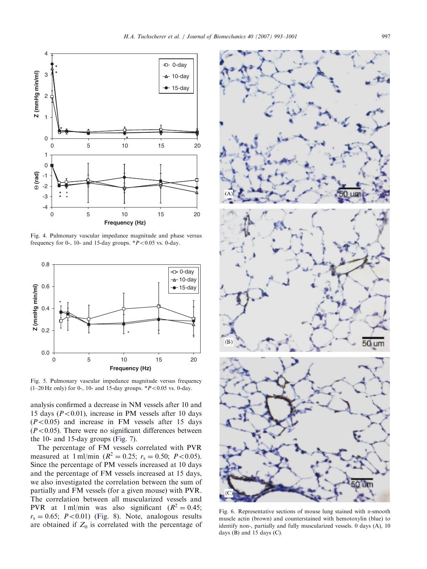<span id="page-4-0"></span>

Fig. 4. Pulmonary vascular impedance magnitude and phase versus frequency for 0-, 10- and 15-day groups.  $*P<0.05$  vs. 0-day.



Fig. 5. Pulmonary vascular impedance magnitude versus frequency (1–20 Hz only) for 0-, 10- and 15-day groups.  $*P < 0.05$  vs. 0-day.

analysis confirmed a decrease in NM vessels after 10 and 15 days ( $P < 0.01$ ), increase in PM vessels after 10 days  $(P<0.05)$  and increase in FM vessels after 15 days  $(P<0.05)$ . There were no significant differences between the 10- and 15-day groups ([Fig. 7\)](#page-5-0).

The percentage of FM vessels correlated with PVR measured at 1 ml/min ( $R^2 = 0.25$ ;  $r_s = 0.50$ ;  $P < 0.05$ ). Since the percentage of PM vessels increased at 10 days and the percentage of FM vessels increased at 15 days, we also investigated the correlation between the sum of partially and FM vessels (for a given mouse) with PVR. The correlation between all muscularized vessels and PVR at 1 ml/min was also significant ( $R^2 = 0.45$ ;  $r_s = 0.65$ ;  $P < 0.01$ ) [\(Fig. 8](#page-5-0)). Note, analogous results are obtained if  $Z_0$  is correlated with the percentage of



Fig. 6. Representative sections of mouse lung stained with  $\alpha$ -smooth muscle actin (brown) and counterstained with hemotoxylin (blue) to identify non-, partially and fully muscularized vessels. 0 days (A), 10 days (B) and 15 days (C).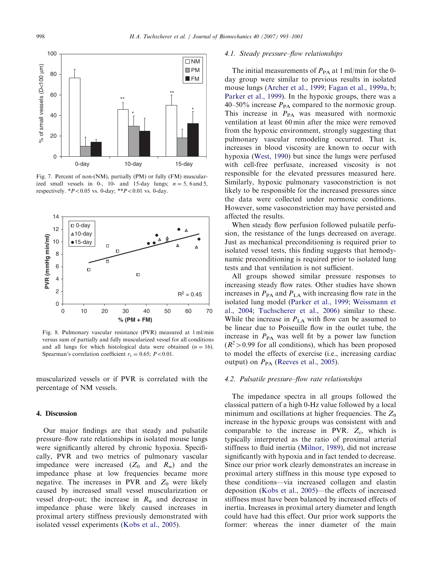<span id="page-5-0"></span>

Fig. 7. Percent of non-(NM), partially (PM) or fully (FM) muscularized small vessels in 0-, 10- and 15-day lungs;  $n = 5$ , 6 and 5, respectively. \* $P < 0.05$  vs. 0-day; \*\* $P < 0.01$  vs. 0-day.



Fig. 8. Pulmonary vascular resistance (PVR) measured at 1 ml/min versus sum of partially and fully muscularized vessel for all conditions and all lungs for which histological data were obtained  $(n = 16)$ . Spearman's correlation coefficient  $r_s = 0.65$ ;  $P < 0.01$ .

muscularized vessels or if PVR is correlated with the percentage of NM vessels.

# 4. Discussion

Our major findings are that steady and pulsatile pressure–flow rate relationships in isolated mouse lungs were significantly altered by chronic hypoxia. Specifically, PVR and two metrics of pulmonary vascular impedance were increased  $(Z_0 \text{ and } R_w)$  and the impedance phase at low frequencies became more negative. The increases in PVR and  $Z_0$  were likely caused by increased small vessel muscularization or vessel drop-out; the increase in  $R_w$  and decrease in impedance phase were likely caused increases in proximal artery stiffness previously demonstrated with isolated vessel experiments [\(Kobs et al., 2005\)](#page-7-0).

# 4.1. Steady pressure–flow relationships

The initial measurements of  $P_{PA}$  at 1 ml/min for the 0day group were similar to previous results in isolated mouse lungs [\(Archer et al., 1999;](#page-7-0) [Fagan et al., 1999a, b](#page-7-0); [Parker et al., 1999\)](#page-7-0). In the hypoxic groups, there was a 40–50% increase  $P_{PA}$  compared to the normoxic group. This increase in  $P_{\text{PA}}$  was measured with normoxic ventilation at least 60 min after the mice were removed from the hypoxic environment, strongly suggesting that pulmonary vascular remodeling occurred. That is, increases in blood viscosity are known to occur with hypoxia ([West, 1990](#page-8-0)) but since the lungs were perfused with cell-free perfusate, increased viscosity is not responsible for the elevated pressures measured here. Similarly, hypoxic pulmonary vasoconstriction is not likely to be responsible for the increased pressures since the data were collected under normoxic conditions. However, some vasoconstriction may have persisted and affected the results.

When steady flow perfusion followed pulsatile perfusion, the resistance of the lungs decreased on average. Just as mechanical preconditioning is required prior to isolated vessel tests, this finding suggests that hemodynamic preconditioning is required prior to isolated lung tests and that ventilation is not sufficient.

All groups showed similar pressure responses to increasing steady flow rates. Other studies have shown increases in  $P_{PA}$  and  $P_{LA}$  with increasing flow rate in the isolated lung model ([Parker et al., 1999](#page-7-0); [Weissmann et](#page-8-0) [al., 2004](#page-8-0); [Tuchscherer et al., 2006\)](#page-7-0) similar to these. While the increase in  $P_{LA}$  with flow can be assumed to be linear due to Poiseuille flow in the outlet tube, the increase in  $P_{PA}$  was well fit by a power law function  $(R^2 > 0.99$  for all conditions), which has been proposed to model the effects of exercise (i.e., increasing cardiac output) on  $P_{PA}$  ([Reeves et al., 2005](#page-7-0)).

## 4.2. Pulsatile pressure–flow rate relationships

The impedance spectra in all groups followed the classical pattern of a high 0-Hz value followed by a local minimum and oscillations at higher frequencies. The  $Z_0$ increase in the hypoxic groups was consistent with and comparable to the increase in PVR.  $Z_c$ , which is typically interpreted as the ratio of proximal arterial stiffness to fluid inertia [\(Milnor, 1989](#page-7-0)), did not increase significantly with hypoxia and in fact tended to decrease. Since our prior work clearly demonstrates an increase in proximal artery stiffness in this mouse type exposed to these conditions—via increased collagen and elastin deposition [\(Kobs et al., 2005\)](#page-7-0)—the effects of increased stiffness must have been balanced by increased effects of inertia. Increases in proximal artery diameter and length could have had this effect. Our prior work supports the former: whereas the inner diameter of the main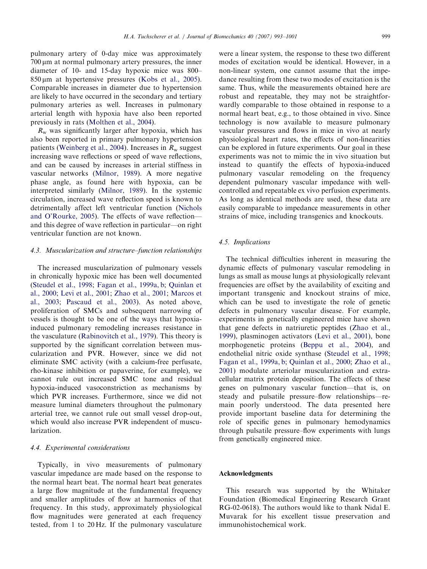pulmonary artery of 0-day mice was approximately 700 mm at normal pulmonary artery pressures, the inner diameter of 10- and 15-day hypoxic mice was 800– 850 µm at hypertensive pressures ([Kobs et al., 2005\)](#page-7-0). Comparable increases in diameter due to hypertension are likely to have occurred in the secondary and tertiary pulmonary arteries as well. Increases in pulmonary arterial length with hypoxia have also been reported previously in rats [\(Molthen et al., 2004\)](#page-7-0).

 $R_w$  was significantly larger after hypoxia, which has also been reported in primary pulmonary hypertension patients [\(Weinberg et al., 2004](#page-8-0)). Increases in  $R_w$  suggest increasing wave reflections or speed of wave reflections, and can be caused by increases in arterial stiffness in vascular networks ([Milnor, 1989\)](#page-7-0). A more negative phase angle, as found here with hypoxia, can be interpreted similarly [\(Milnor, 1989\)](#page-7-0). In the systemic circulation, increased wave reflection speed is known to detrimentally affect left ventricular function ([Nichols](#page-7-0) [and O'Rourke, 2005](#page-7-0)). The effects of wave reflection and this degree of wave reflection in particular—on right ventricular function are not known.

## 4.3. Muscularization and structure–function relationships

The increased muscularization of pulmonary vessels in chronically hypoxic mice has been well documented ([Steudel et al., 1998;](#page-7-0) [Fagan et al., 1999a, b](#page-7-0); [Quinlan et](#page-7-0) [al., 2000;](#page-7-0) [Levi et al., 2001;](#page-7-0) [Zhao et al., 2001](#page-8-0); [Marcos et](#page-7-0) [al., 2003;](#page-7-0) [Pascaud et al., 2003](#page-7-0)). As noted above, proliferation of SMCs and subsequent narrowing of vessels is thought to be one of the ways that hypoxiainduced pulmonary remodeling increases resistance in the vasculature ([Rabinovitch et al., 1979\)](#page-7-0). This theory is supported by the significant correlation between muscularization and PVR. However, since we did not eliminate SMC activity (with a calcium-free perfusate, rho-kinase inhibition or papaverine, for example), we cannot rule out increased SMC tone and residual hypoxia-induced vasoconstriction as mechanisms by which PVR increases. Furthermore, since we did not measure luminal diameters throughout the pulmonary arterial tree, we cannot rule out small vessel drop-out, which would also increase PVR independent of muscularization.

# 4.4. Experimental considerations

Typically, in vivo measurements of pulmonary vascular impedance are made based on the response to the normal heart beat. The normal heart beat generates a large flow magnitude at the fundamental frequency and smaller amplitudes of flow at harmonics of that frequency. In this study, approximately physiological flow magnitudes were generated at each frequency tested, from 1 to 20 Hz. If the pulmonary vasculature were a linear system, the response to these two different modes of excitation would be identical. However, in a non-linear system, one cannot assume that the impedance resulting from these two modes of excitation is the same. Thus, while the measurements obtained here are robust and repeatable, they may not be straightforwardly comparable to those obtained in response to a normal heart beat, e.g., to those obtained in vivo. Since technology is now available to measure pulmonary vascular pressures and flows in mice in vivo at nearly physiological heart rates, the effects of non-linearities can be explored in future experiments. Our goal in these experiments was not to mimic the in vivo situation but instead to quantify the effects of hypoxia-induced pulmonary vascular remodeling on the frequency dependent pulmonary vascular impedance with wellcontrolled and repeatable ex vivo perfusion experiments. As long as identical methods are used, these data are easily comparable to impedance measurements in other strains of mice, including transgenics and knockouts.

# 4.5. Implications

The technical difficulties inherent in measuring the dynamic effects of pulmonary vascular remodeling in lungs as small as mouse lungs at physiologically relevant frequencies are offset by the availability of exciting and important transgenic and knockout strains of mice, which can be used to investigate the role of genetic defects in pulmonary vascular disease. For example, experiments in genetically engineered mice have shown that gene defects in natriuretic peptides [\(Zhao et al.,](#page-8-0) [1999](#page-8-0)), plasminogen activators [\(Levi et al., 2001\)](#page-7-0), bone morphogenetic proteins ([Beppu et al., 2004\)](#page-7-0), and endothelial nitric oxide synthase [\(Steudel et al., 1998;](#page-7-0) [Fagan et al., 1999a, b;](#page-7-0) [Quinlan et al., 2000;](#page-7-0) [Zhao et al.,](#page-8-0) [2001](#page-8-0)) modulate arteriolar muscularization and extracellular matrix protein deposition. The effects of these genes on pulmonary vascular function—that is, on steady and pulsatile pressure–flow relationships—remain poorly understood. The data presented here provide important baseline data for determining the role of specific genes in pulmonary hemodynamics through pulsatile pressure–flow experiments with lungs from genetically engineered mice.

## Acknowledgments

This research was supported by the Whitaker Foundation (Biomedical Engineering Research Grant RG-02-0618). The authors would like to thank Nidal E. Muvarak for his excellent tissue preservation and immunohistochemical work.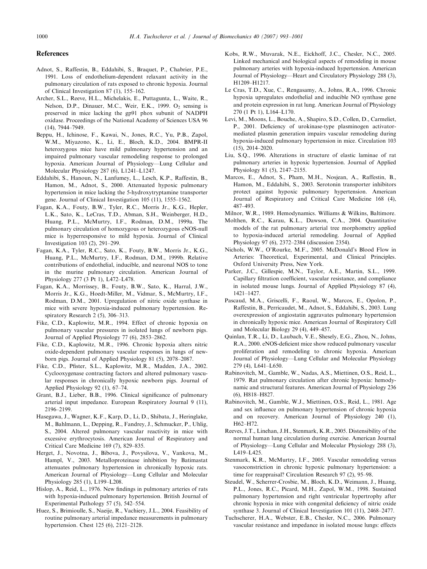# <span id="page-7-0"></span>References

- Adnot, S., Raffestin, B., Eddahibi, S., Braquet, P., Chabrier, P.E., 1991. Loss of endothelium-dependent relaxant activity in the pulmonary circulation of rats exposed to chronic hypoxia. Journal of Clinical Investigation 87 (1), 155–162.
- Archer, S.L., Reeve, H.L., Michelakis, E., Puttagunta, L., Waite, R., Nelson, D.P., Dinauer, M.C., Weir, E.K., 1999.  $O_2$  sensing is preserved in mice lacking the gp91 phox subunit of NADPH oxidase. Proceedings of the National Academy of Sciences USA 96 (14), 7944–7949.
- Beppu, H., Ichinose, F., Kawai, N., Jones, R.C., Yu, P.B., Zapol, W.M., Miyazono, K., Li, E., Bloch, K.D., 2004. BMPR-II heterozygous mice have mild pulmonary hypertension and an impaired pulmonary vascular remodeling response to prolonged hypoxia. American Journal of Physiology—Lung Cellular and Molecular Physiology 287 (6), L1241–L1247.
- Eddahibi, S., Hanoun, N., Lanfumey, L., Lesch, K.P., Raffestin, B., Hamon, M., Adnot, S., 2000. Attenuated hypoxic pulmonary hypertension in mice lacking the 5-hydroxytryptamine transporter gene. Journal of Clinical Investigation 105 (11), 1555–1562.
- Fagan, K.A., Fouty, B.W., Tyler, R.C., Morris Jr., K.G., Hepler, L.K., Sato, K., LeCras, T.D., Abman, S.H., Weinberger, H.D., Huang, P.L., McMurtry, I.F., Rodman, D.M., 1999a. The pulmonary circulation of homozygous or heterozygous eNOS-null mice is hyperresponsive to mild hypoxia. Journal of Clinical Investigation 103 (2), 291–299.
- Fagan, K.A., Tyler, R.C., Sato, K., Fouty, B.W., Morris Jr., K.G., Huang, P.L., McMurtry, I.F., Rodman, D.M., 1999b. Relative contributions of endothelial, inducible, and neuronal NOS to tone in the murine pulmonary circulation. American Journal of Physiology 277 (3 Pt 1), L472–L478.
- Fagan, K.A., Morrissey, B., Fouty, B.W., Sato, K., Harral, J.W., Morris Jr., K.G., Hoedt-Miller, M., Vidmar, S., McMurtry, I.F., Rodman, D.M., 2001. Upregulation of nitric oxide synthase in mice with severe hypoxia-induced pulmonary hypertension. Respiratory Research 2 (5), 306–313.
- Fike, C.D., Kaplowitz, M.R., 1994. Effect of chronic hypoxia on pulmonary vascular pressures in isolated lungs of newborn pigs. Journal of Applied Physiology 77 (6), 2853–2862.
- Fike, C.D., Kaplowitz, M.R., 1996. Chronic hypoxia alters nitric oxide-dependent pulmonary vascular responses in lungs of newborn pigs. Journal of Applied Physiology 81 (5), 2078–2087.
- Fike, C.D., Pfister, S.L., Kaplowitz, M.R., Madden, J.A., 2002. Cyclooxygenase contracting factors and altered pulmonary vascular responses in chronically hypoxic newborn pigs. Journal of Applied Physiology 92 (1), 67–74.
- Grant, B.J., Lieber, B.B., 1996. Clinical significance of pulmonary arterial input impedance. European Respiratory Journal 9 (11), 2196–2199.
- Hasegawa, J., Wagner, K.F., Karp, D., Li, D., Shibata, J., Heringlake, M., Bahlmann, L., Depping, R., Fandrey, J., Schmucker, P., Uhlig, S., 2004. Altered pulmonary vascular reactivity in mice with excessive erythrocytosis. American Journal of Respiratory and Critical Care Medicine 169 (7), 829–835.
- Herget, J., Novotna, J., Bibova, J., Povysilova, V., Vankova, M., Hampl, V., 2003. Metalloproteinase inhibition by Batimastat attenuates pulmonary hypertension in chronically hypoxic rats. American Journal of Physiology—Lung Cellular and Molecular Physiology 285 (1), L199–L208.
- Hislop, A., Reid, L., 1976. New findings in pulmonary arteries of rats with hypoxia-induced pulmonary hypertension. British Journal of Experimental Pathology 57 (5), 542–554.
- Huez, S., Brimioulle, S., Naeije, R., Vachiery, J.L., 2004. Feasibility of routine pulmonary arterial impedance measurements in pulmonary hypertension. Chest 125 (6), 2121–2128.
- Kobs, R.W., Muvarak, N.E., Eickhoff, J.C., Chesler, N.C., 2005. Linked mechanical and biological aspects of remodeling in mouse pulmonary arteries with hypoxia-induced hypertension. American Journal of Physiology—Heart and Circulatory Physiology 288 (3), H1209–H1217.
- Le Cras, T.D., Xue, C., Rengasamy, A., Johns, R.A., 1996. Chronic hypoxia upregulates endothelial and inducible NO synthase gene and protein expression in rat lung. American Journal of Physiology 270 (1 Pt 1), L164–L170.
- Levi, M., Moons, L., Bouche, A., Shapiro, S.D., Collen, D., Carmeliet, P., 2001. Deficiency of urokinase-type plasminogen activatormediated plasmin generation impairs vascular remodeling during hypoxia-induced pulmonary hypertension in mice. Circulation 103 (15), 2014–2020.
- Liu, S.Q., 1996. Alterations in structure of elastic laminae of rat pulmonary arteries in hypoxic hypertension. Journal of Applied Physiology 81 (5), 2147–2155.
- Marcos, E., Adnot, S., Pham, M.H., Nosjean, A., Raffestin, B., Hamon, M., Eddahibi, S., 2003. Serotonin transporter inhibitors protect against hypoxic pulmonary hypertension. American Journal of Respiratory and Critical Care Medicine 168 (4), 487–493.
- Milnor, W.R., 1989. Hemodynamics. Williams & Wilkins, Baltimore.
- Molthen, R.C., Karau, K.L., Dawson, C.A., 2004. Quantitative models of the rat pulmonary arterial tree morphometry applied to hypoxia-induced arterial remodeling. Journal of Applied Physiology 97 (6), 2372–2384 (discussion 2354).
- Nichols, W.W., O'Rourke, M.F., 2005. McDonald's Blood Flow in Arteries: Theoretical, Experimental, and Clinical Principles. Oxford University Press, New York.
- Parker, J.C., Gillespie, M.N., Taylor, A.E., Martin, S.L., 1999. Capillary filtration coefficient, vascular resistance, and compliance in isolated mouse lungs. Journal of Applied Physiology 87 (4), 1421–1427.
- Pascaud, M.A., Griscelli, F., Raoul, W., Marcos, E., Opolon, P., Raffestin, B., Perricaudet, M., Adnot, S., Eddahibi, S., 2003. Lung overexpression of angiostatin aggravates pulmonary hypertension in chronically hypoxic mice. American Journal of Respiratory Cell and Molecular Biology 29 (4), 449–457.
- Quinlan, T.R., Li, D., Laubach, V.E., Shesely, E.G., Zhou, N., Johns, R.A., 2000. eNOS-deficient mice show reduced pulmonary vascular proliferation and remodeling to chronic hypoxia. American Journal of Physiology—Lung Cellular and Molecular Physiology 279 (4), L641–L650.
- Rabinovitch, M., Gamble, W., Nadas, A.S., Miettinen, O.S., Reid, L., 1979. Rat pulmonary circulation after chronic hypoxia: hemodynamic and structural features. American Journal of Physiology 236 (6), H818–H827.
- Rabinovitch, M., Gamble, W.J., Miettinen, O.S., Reid, L., 1981. Age and sex influence on pulmonary hypertension of chronic hypoxia and on recovery. American Journal of Physiology 240 (1), H62–H72.
- Reeves, J.T., Linehan, J.H., Stenmark, K.R., 2005. Distensibility of the normal human lung circulation during exercise. American Journal of Physiology—Lung Cellular and Molecular Physiology 288 (3), L419–L425.
- Stenmark, K.R., McMurtry, I.F., 2005. Vascular remodeling versus vasoconstriction in chronic hypoxic pulmonary hypertension: a time for reappraisal? Circulation Research 97 (2), 95–98.
- Steudel, W., Scherrer-Crosbie, M., Bloch, K.D., Weimann, J., Huang, P.L., Jones, R.C., Picard, M.H., Zapol, W.M., 1998. Sustained pulmonary hypertension and right ventricular hypertrophy after chronic hypoxia in mice with congenital deficiency of nitric oxide synthase 3. Journal of Clinical Investigation 101 (11), 2468–2477.
- Tuchscherer, H.A., Webster, E.B., Chesler, N.C., 2006. Pulmonary vascular resistance and impedance in isolated mouse lungs: effects